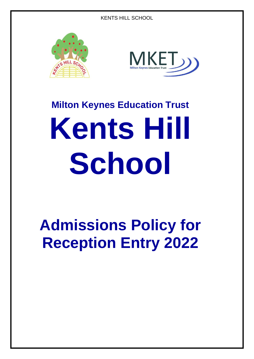



# **Milton Keynes Education Trust Kents Hill School**

# **Admissions Policy for Reception Entry 2022**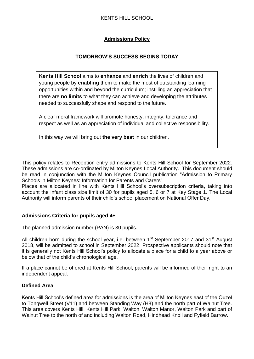# KENTS HILL SCHOOL

# **Admissions Policy**

# **TOMORROW'S SUCCESS BEGINS TODAY**

**Kents Hill School** aims to **enhance** and **enrich** the lives of children and young people by **enabling** them to make the most of outstanding learning opportunities within and beyond the curriculum; instilling an appreciation that there are **no limits** to what they can achieve and developing the attributes needed to successfully shape and respond to the future.

A clear moral framework will promote honesty, integrity, tolerance and respect as well as an appreciation of individual and collective responsibility.

In this way we will bring out **the very best** in our children.

This policy relates to Reception entry admissions to Kents Hill School for September 2022. These admissions are co-ordinated by Milton Keynes Local Authority. This document should be read in conjunction with the Milton Keynes Council publication "Admission to Primary Schools in Milton Keynes: Information for Parents and Carers".

Places are allocated in line with Kents Hill School's oversubscription criteria, taking into account the infant class size limit of 30 for pupils aged 5, 6 or 7 at Key Stage 1. The Local Authority will inform parents of their child's school placement on National Offer Day.

# **Admissions Criteria for pupils aged 4+**

The planned admission number (PAN) is 30 pupils.

All children born during the school year, i.e. between 1<sup>st</sup> September 2017 and 31<sup>st</sup> August 2018, will be admitted to school in September 2022. Prospective applicants should note that it is generally not Kents Hill School's policy to allocate a place for a child to a year above or below that of the child's chronological age.

If a place cannot be offered at Kents Hill School, parents will be informed of their right to an independent appeal.

# **Defined Area**

Kents Hill School's defined area for admissions is the area of Milton Keynes east of the Ouzel to Tongwell Street (V11) and between Standing Way (H8) and the north part of Walnut Tree. This area covers Kents Hill, Kents Hill Park, Walton, Walton Manor, Walton Park and part of Walnut Tree to the north of and including Walton Road, Hindhead Knoll and Fyfield Barrow.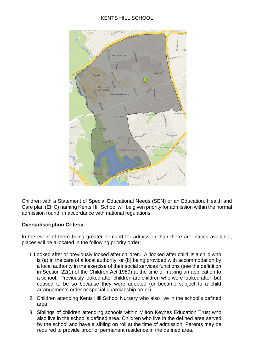# KENTS HILL SCHOOL



Children with a Statement of Special Educational Needs (SEN) or an Education, Health and Care plan (EHC) naming Kents Hill School will be given priority for admission within the normal admission round, in accordance with national regulations.

# **Oversubscription Criteria**

In the event of there being greater demand for admission than there are places available, places will be allocated in the following priority order:

- 1. Looked after or previously looked after children. A 'looked after child' is a child who is (a) in the care of a local authority, or (b) being provided with accommodation by a local authority in the exercise of their social services functions (see the definition in Section 22(1) of the Children Act 1989) at the time of making an application to a school. Previously looked after children are children who were looked after, but ceased to be so because they were adopted (or became subject to a child arrangements order or special guardianship order).
- 2. Children attending Kents Hill School Nursery who also live in the school's defined area.
- 3. Siblings of children attending schools within Milton Keynes Education Trust who also live in the school's defined area. Children who live in the defined area served by the school and have a sibling on roll at the time of admission. Parents may be required to provide proof of permanent residence in the defined area.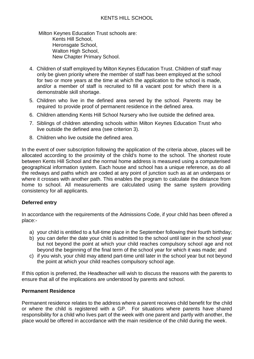Milton Keynes Education Trust schools are: Kents Hill School, Heronsgate School. Walton High School, New Chapter Primary School.

- 4. Children of staff employed by Milton Keynes Education Trust. Children of staff may only be given priority where the member of staff has been employed at the school for two or more years at the time at which the application to the school is made, and/or a member of staff is recruited to fill a vacant post for which there is a demonstrable skill shortage.
- 5. Children who live in the defined area served by the school. Parents may be required to provide proof of permanent residence in the defined area.
- 6. Children attending Kents Hill School Nursery who live outside the defined area.
- 7. Siblings of children attending schools within Milton Keynes Education Trust who live outside the defined area (see criterion 3).
- 8. Children who live outside the defined area.

In the event of over subscription following the application of the criteria above, places will be allocated according to the proximity of the child's home to the school. The shortest route between Kents Hill School and the normal home address is measured using a computerised geographical information system. Each house and school has a unique reference, as do all the redways and paths which are coded at any point of junction such as at an underpass or where it crosses with another path. This enables the program to calculate the distance from home to school. All measurements are calculated using the same system providing consistency for all applicants.

#### **Deferred entry**

In accordance with the requirements of the Admissions Code, if your child has been offered a place:-

- a) your child is entitled to a full-time place in the September following their fourth birthday;
- b) you can defer the date your child is admitted to the school until later in the school year but not beyond the point at which your child reaches compulsory school age and not beyond the beginning of the final term of the school year for which it was made; and
- c) if you wish, your child may attend part-time until later in the school year but not beyond the point at which your child reaches compulsory school age.

If this option is preferred, the Headteacher will wish to discuss the reasons with the parents to ensure that all of the implications are understood by parents and school.

# **Permanent Residence**

Permanent residence relates to the address where a parent receives child benefit for the child or where the child is registered with a GP. For situations where parents have shared responsibility for a child who lives part of the week with one parent and partly with another, the place would be offered in accordance with the main residence of the child during the week.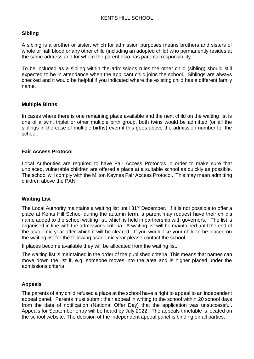# **Sibling**

A sibling is a brother or sister, which for admission purposes means brothers and sisters of whole or half blood or any other child (including an adopted child) who permanently resides at the same address and for whom the parent also has parental responsibility.

To be included as a sibling within the admissions rules the other child (sibling) should still expected to be in attendance when the applicant child joins the school. Siblings are always checked and it would be helpful if you indicated where the existing child has a different family name.

# **Multiple Births**

In cases where there is one remaining place available and the next child on the waiting list is one of a twin, triplet or other multiple birth group, both twins would be admitted (or all the siblings in the case of multiple births) even if this goes above the admission number for the school.

# **Fair Access Protocol**

Local Authorities are required to have Fair Access Protocols in order to make sure that unplaced, vulnerable children are offered a place at a suitable school as quickly as possible. The school will comply with the Milton Keynes Fair Access Protocol. This may mean admitting children above the PAN.

#### **Waiting List**

The Local Authority maintains a waiting list until 31<sup>st</sup> December. If it is not possible to offer a place at Kents Hill School during the autumn term, a parent may request have their child's name added to the school waiting list, which is held in partnership with governors. The list is organised in line with the admissions criteria. A waiting list will be maintained until the end of the academic year after which it will be cleared. If you would like your child to be placed on the waiting list for the following academic year please contact the school.

If places become available they will be allocated from the waiting list.

The waiting list is maintained in the order of the published criteria. This means that names can move down the list if, e.g. someone moves into the area and is higher placed under the admissions criteria.

# **Appeals**

The parents of any child refused a place at the school have a right to appeal to an independent appeal panel. Parents must submit their appeal in writing to the school within 20 school days from the date of notification (National Offer Day) that the application was unsuccessful. Appeals for September entry will be heard by July 2022. The appeals timetable is located on the school website. The decision of the independent appeal panel is binding on all parties.